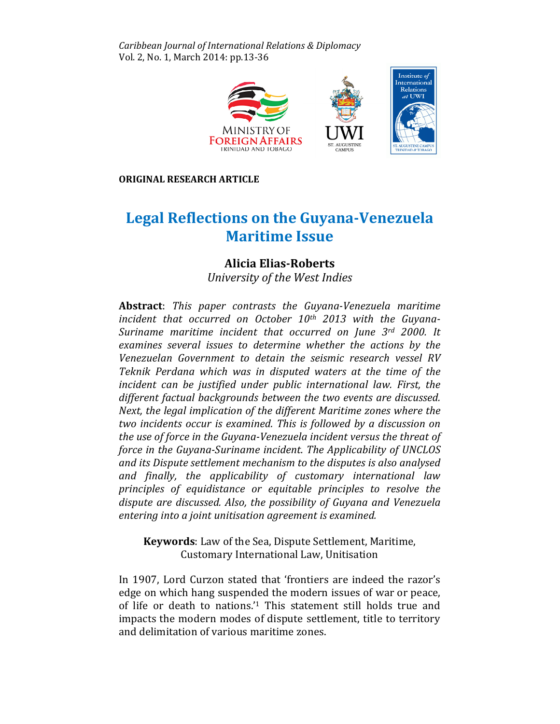Caribbean Journal of International Relations & Diplomacy Vol. 2, No. 1, March 2014: pp.13-36



ORIGINAL RESEARCH ARTICLE

# Legal Reflections on the Guyana-Venezuela Maritime Issue

# Alicia Elias-Roberts

University of the West Indies

Abstract: This paper contrasts the Guyana-Venezuela maritime incident that occurred on October  $10<sup>th</sup>$  2013 with the Guyana-Suriname maritime incident that occurred on June 3rd 2000. It examines several issues to determine whether the actions by the Venezuelan Government to detain the seismic research vessel RV Teknik Perdana which was in disputed waters at the time of the incident can be justified under public international law. First, the different factual backgrounds between the two events are discussed. Next, the legal implication of the different Maritime zones where the two incidents occur is examined. This is followed by a discussion on the use of force in the Guyana-Venezuela incident versus the threat of force in the Guyana-Suriname incident. The Applicability of UNCLOS and its Dispute settlement mechanism to the disputes is also analysed and finally, the applicability of customary international law principles of equidistance or equitable principles to resolve the dispute are discussed. Also, the possibility of Guyana and Venezuela entering into a joint unitisation agreement is examined.

Keywords: Law of the Sea, Dispute Settlement, Maritime, Customary International Law, Unitisation

In 1907, Lord Curzon stated that 'frontiers are indeed the razor's edge on which hang suspended the modern issues of war or peace, of life or death to nations.'1 This statement still holds true and impacts the modern modes of dispute settlement, title to territory and delimitation of various maritime zones.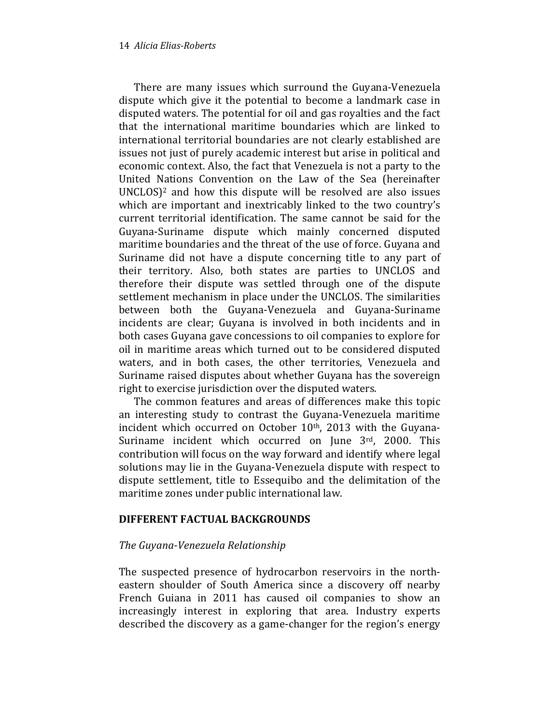There are many issues which surround the Guyana-Venezuela dispute which give it the potential to become a landmark case in disputed waters. The potential for oil and gas royalties and the fact that the international maritime boundaries which are linked to international territorial boundaries are not clearly established are issues not just of purely academic interest but arise in political and economic context. Also, the fact that Venezuela is not a party to the United Nations Convention on the Law of the Sea (hereinafter UNCLOS)2 and how this dispute will be resolved are also issues which are important and inextricably linked to the two country's current territorial identification. The same cannot be said for the Guyana-Suriname dispute which mainly concerned disputed maritime boundaries and the threat of the use of force. Guyana and Suriname did not have a dispute concerning title to any part of their territory. Also, both states are parties to UNCLOS and therefore their dispute was settled through one of the dispute settlement mechanism in place under the UNCLOS. The similarities between both the Guyana-Venezuela and Guyana-Suriname incidents are clear; Guyana is involved in both incidents and in both cases Guyana gave concessions to oil companies to explore for oil in maritime areas which turned out to be considered disputed waters, and in both cases, the other territories, Venezuela and Suriname raised disputes about whether Guyana has the sovereign right to exercise jurisdiction over the disputed waters.

The common features and areas of differences make this topic an interesting study to contrast the Guyana-Venezuela maritime incident which occurred on October  $10<sup>th</sup>$ , 2013 with the Guyana-Suriname incident which occurred on June 3rd, 2000. This contribution will focus on the way forward and identify where legal solutions may lie in the Guyana-Venezuela dispute with respect to dispute settlement, title to Essequibo and the delimitation of the maritime zones under public international law.

## DIFFERENT FACTUAL BACKGROUNDS

## The Guyana-Venezuela Relationship

The suspected presence of hydrocarbon reservoirs in the northeastern shoulder of South America since a discovery off nearby French Guiana in 2011 has caused oil companies to show an increasingly interest in exploring that area. Industry experts described the discovery as a game-changer for the region's energy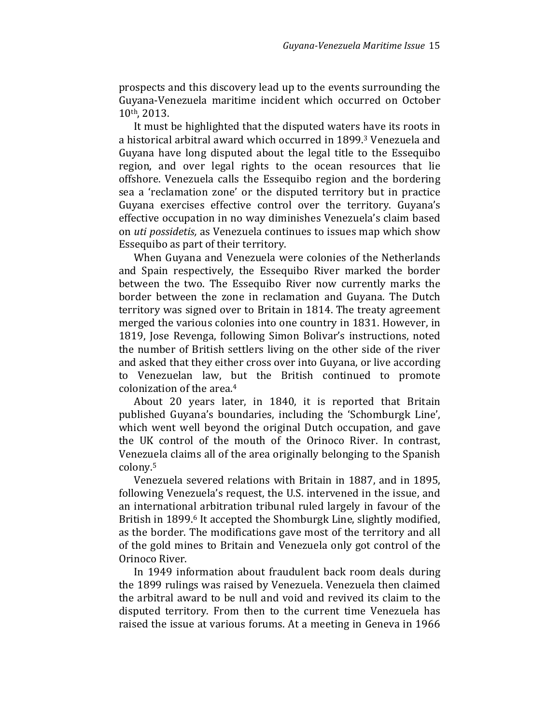prospects and this discovery lead up to the events surrounding the Guyana-Venezuela maritime incident which occurred on October 10th, 2013.

It must be highlighted that the disputed waters have its roots in a historical arbitral award which occurred in 1899.3 Venezuela and Guyana have long disputed about the legal title to the Essequibo region, and over legal rights to the ocean resources that lie offshore. Venezuela calls the Essequibo region and the bordering sea a 'reclamation zone' or the disputed territory but in practice Guyana exercises effective control over the territory. Guyana's effective occupation in no way diminishes Venezuela's claim based on uti possidetis, as Venezuela continues to issues map which show Essequibo as part of their territory.

When Guyana and Venezuela were colonies of the Netherlands and Spain respectively, the Essequibo River marked the border between the two. The Essequibo River now currently marks the border between the zone in reclamation and Guyana. The Dutch territory was signed over to Britain in 1814. The treaty agreement merged the various colonies into one country in 1831. However, in 1819, Jose Revenga, following Simon Bolivar's instructions, noted the number of British settlers living on the other side of the river and asked that they either cross over into Guyana, or live according to Venezuelan law, but the British continued to promote colonization of the area.<sup>4</sup>

About 20 years later, in 1840, it is reported that Britain published Guyana's boundaries, including the 'Schomburgk Line', which went well beyond the original Dutch occupation, and gave the UK control of the mouth of the Orinoco River. In contrast, Venezuela claims all of the area originally belonging to the Spanish colony.<sup>5</sup>

Venezuela severed relations with Britain in 1887, and in 1895, following Venezuela's request, the U.S. intervened in the issue, and an international arbitration tribunal ruled largely in favour of the British in 1899.<sup>6</sup> It accepted the Shomburgk Line, slightly modified, as the border. The modifications gave most of the territory and all of the gold mines to Britain and Venezuela only got control of the Orinoco River.

In 1949 information about fraudulent back room deals during the 1899 rulings was raised by Venezuela. Venezuela then claimed the arbitral award to be null and void and revived its claim to the disputed territory. From then to the current time Venezuela has raised the issue at various forums. At a meeting in Geneva in 1966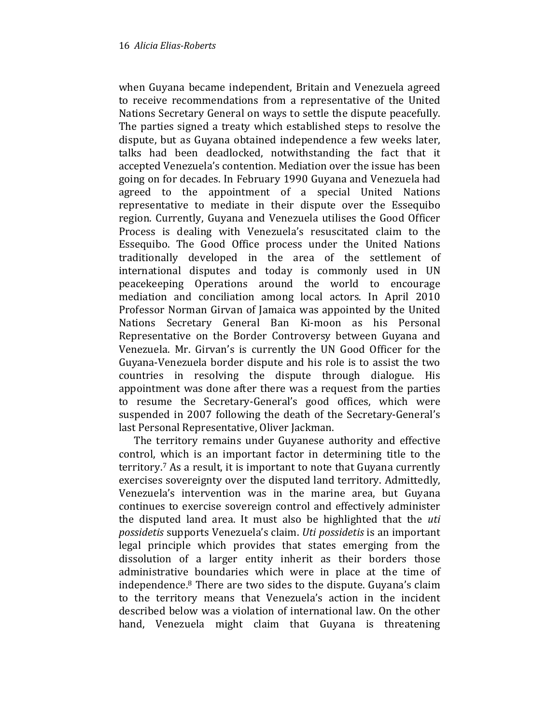when Guyana became independent, Britain and Venezuela agreed to receive recommendations from a representative of the United Nations Secretary General on ways to settle the dispute peacefully. The parties signed a treaty which established steps to resolve the dispute, but as Guyana obtained independence a few weeks later, talks had been deadlocked, notwithstanding the fact that it accepted Venezuela's contention. Mediation over the issue has been going on for decades. In February 1990 Guyana and Venezuela had agreed to the appointment of a special United Nations representative to mediate in their dispute over the Essequibo region. Currently, Guyana and Venezuela utilises the Good Officer Process is dealing with Venezuela's resuscitated claim to the Essequibo. The Good Office process under the United Nations traditionally developed in the area of the settlement of international disputes and today is commonly used in UN peacekeeping Operations around the world to encourage mediation and conciliation among local actors. In April 2010 Professor Norman Girvan of Jamaica was appointed by the United Nations Secretary General Ban Ki-moon as his Personal Representative on the Border Controversy between Guyana and Venezuela. Mr. Girvan's is currently the UN Good Officer for the Guyana-Venezuela border dispute and his role is to assist the two countries in resolving the dispute through dialogue. His appointment was done after there was a request from the parties to resume the Secretary-General's good offices, which were suspended in 2007 following the death of the Secretary-General's last Personal Representative, Oliver Jackman.

The territory remains under Guyanese authority and effective control, which is an important factor in determining title to the territory.7 As a result, it is important to note that Guyana currently exercises sovereignty over the disputed land territory. Admittedly, Venezuela's intervention was in the marine area, but Guyana continues to exercise sovereign control and effectively administer the disputed land area. It must also be highlighted that the uti possidetis supports Venezuela's claim. Uti possidetis is an important legal principle which provides that states emerging from the dissolution of a larger entity inherit as their borders those administrative boundaries which were in place at the time of independence.8 There are two sides to the dispute. Guyana's claim to the territory means that Venezuela's action in the incident described below was a violation of international law. On the other hand, Venezuela might claim that Guyana is threatening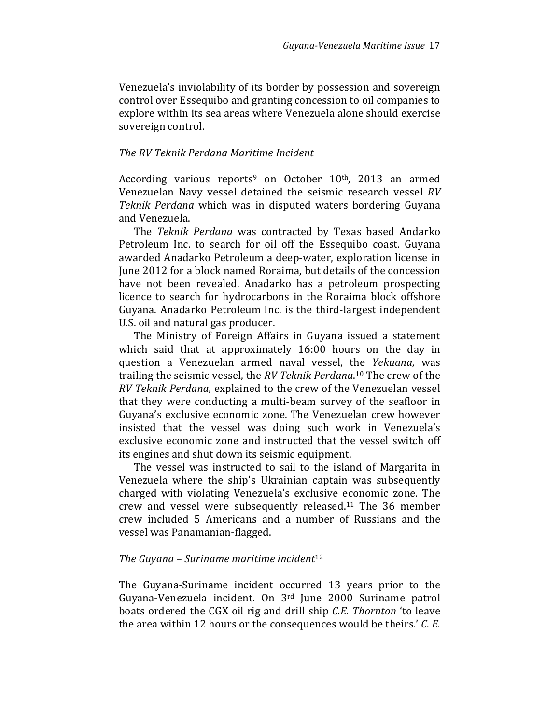Venezuela's inviolability of its border by possession and sovereign control over Essequibo and granting concession to oil companies to explore within its sea areas where Venezuela alone should exercise sovereign control.

#### The RV Teknik Perdana Maritime Incident

According various reports<sup>9</sup> on October 10<sup>th</sup>, 2013 an armed Venezuelan Navy vessel detained the seismic research vessel RV Teknik Perdana which was in disputed waters bordering Guyana and Venezuela.

The Teknik Perdana was contracted by Texas based Andarko Petroleum Inc. to search for oil off the Essequibo coast. Guyana awarded Anadarko Petroleum a deep-water, exploration license in June 2012 for a block named Roraima, but details of the concession have not been revealed. Anadarko has a petroleum prospecting licence to search for hydrocarbons in the Roraima block offshore Guyana. Anadarko Petroleum Inc. is the third-largest independent U.S. oil and natural gas producer.

The Ministry of Foreign Affairs in Guyana issued a statement which said that at approximately 16:00 hours on the day in question a Venezuelan armed naval vessel, the Yekuana, was trailing the seismic vessel, the RV Teknik Perdana.<sup>10</sup> The crew of the RV Teknik Perdana, explained to the crew of the Venezuelan vessel that they were conducting a multi-beam survey of the seafloor in Guyana's exclusive economic zone. The Venezuelan crew however insisted that the vessel was doing such work in Venezuela's exclusive economic zone and instructed that the vessel switch off its engines and shut down its seismic equipment.

The vessel was instructed to sail to the island of Margarita in Venezuela where the ship's Ukrainian captain was subsequently charged with violating Venezuela's exclusive economic zone. The crew and vessel were subsequently released.11 The 36 member crew included 5 Americans and a number of Russians and the vessel was Panamanian-flagged.

#### The Guyana – Suriname maritime incident $12$

The Guyana-Suriname incident occurred 13 years prior to the Guyana-Venezuela incident. On 3rd June 2000 Suriname patrol boats ordered the CGX oil rig and drill ship C.E. Thornton 'to leave the area within 12 hours or the consequences would be theirs.' C. E.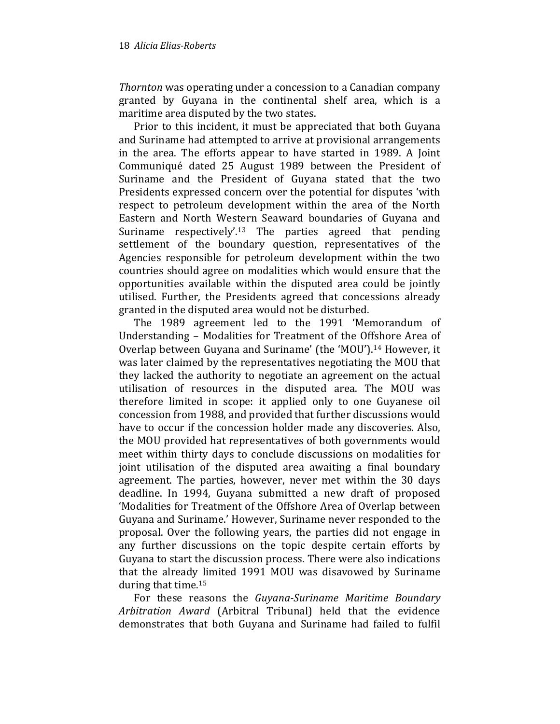Thornton was operating under a concession to a Canadian company granted by Guyana in the continental shelf area, which is a maritime area disputed by the two states.

Prior to this incident, it must be appreciated that both Guyana and Suriname had attempted to arrive at provisional arrangements in the area. The efforts appear to have started in 1989. A Joint Communiqué dated 25 August 1989 between the President of Suriname and the President of Guyana stated that the two Presidents expressed concern over the potential for disputes 'with respect to petroleum development within the area of the North Eastern and North Western Seaward boundaries of Guyana and Suriname respectively'.<sup>13</sup> The parties agreed that pending settlement of the boundary question, representatives of the Agencies responsible for petroleum development within the two countries should agree on modalities which would ensure that the opportunities available within the disputed area could be jointly utilised. Further, the Presidents agreed that concessions already granted in the disputed area would not be disturbed.

The 1989 agreement led to the 1991 'Memorandum of Understanding – Modalities for Treatment of the Offshore Area of Overlap between Guyana and Suriname' (the 'MOU').14 However, it was later claimed by the representatives negotiating the MOU that they lacked the authority to negotiate an agreement on the actual utilisation of resources in the disputed area. The MOU was therefore limited in scope: it applied only to one Guyanese oil concession from 1988, and provided that further discussions would have to occur if the concession holder made any discoveries. Also, the MOU provided hat representatives of both governments would meet within thirty days to conclude discussions on modalities for joint utilisation of the disputed area awaiting a final boundary agreement. The parties, however, never met within the 30 days deadline. In 1994, Guyana submitted a new draft of proposed 'Modalities for Treatment of the Offshore Area of Overlap between Guyana and Suriname.' However, Suriname never responded to the proposal. Over the following years, the parties did not engage in any further discussions on the topic despite certain efforts by Guyana to start the discussion process. There were also indications that the already limited 1991 MOU was disavowed by Suriname during that time.<sup>15</sup>

For these reasons the Guyana-Suriname Maritime Boundary Arbitration Award (Arbitral Tribunal) held that the evidence demonstrates that both Guyana and Suriname had failed to fulfil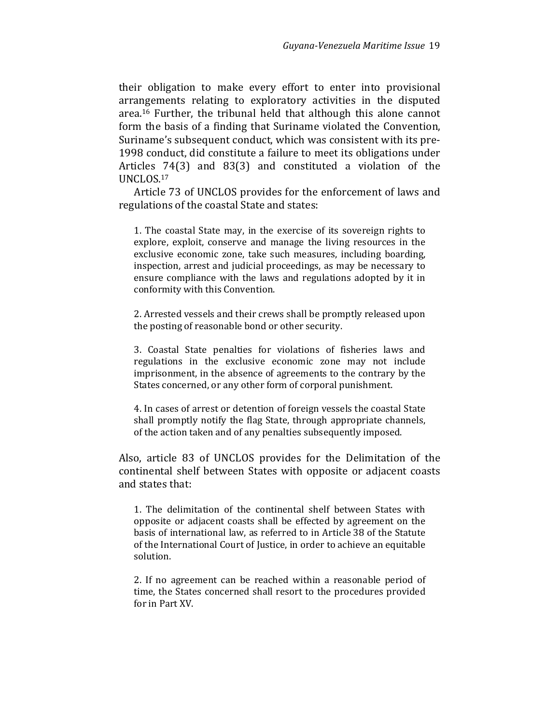their obligation to make every effort to enter into provisional arrangements relating to exploratory activities in the disputed area.16 Further, the tribunal held that although this alone cannot form the basis of a finding that Suriname violated the Convention, Suriname's subsequent conduct, which was consistent with its pre-1998 conduct, did constitute a failure to meet its obligations under Articles 74(3) and 83(3) and constituted a violation of the UNCLOS.<sup>17</sup>

Article 73 of UNCLOS provides for the enforcement of laws and regulations of the coastal State and states:

1. The coastal State may, in the exercise of its sovereign rights to explore, exploit, conserve and manage the living resources in the exclusive economic zone, take such measures, including boarding, inspection, arrest and judicial proceedings, as may be necessary to ensure compliance with the laws and regulations adopted by it in conformity with this Convention.

2. Arrested vessels and their crews shall be promptly released upon the posting of reasonable bond or other security.

3. Coastal State penalties for violations of fisheries laws and regulations in the exclusive economic zone may not include imprisonment, in the absence of agreements to the contrary by the States concerned, or any other form of corporal punishment.

4. In cases of arrest or detention of foreign vessels the coastal State shall promptly notify the flag State, through appropriate channels, of the action taken and of any penalties subsequently imposed.

Also, article 83 of UNCLOS provides for the Delimitation of the continental shelf between States with opposite or adjacent coasts and states that:

1. The delimitation of the continental shelf between States with opposite or adjacent coasts shall be effected by agreement on the basis of international law, as referred to in Article 38 of the Statute of the International Court of Justice, in order to achieve an equitable solution.

2. If no agreement can be reached within a reasonable period of time, the States concerned shall resort to the procedures provided for in Part XV.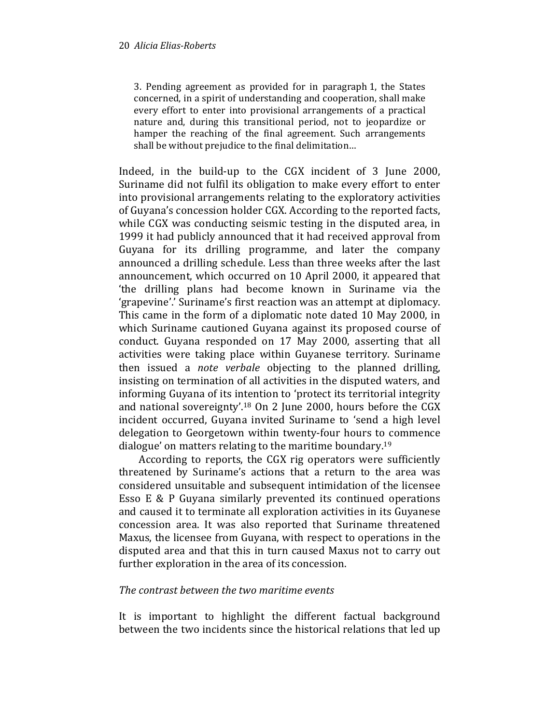3. Pending agreement as provided for in paragraph 1, the States concerned, in a spirit of understanding and cooperation, shall make every effort to enter into provisional arrangements of a practical nature and, during this transitional period, not to jeopardize or hamper the reaching of the final agreement. Such arrangements shall be without prejudice to the final delimitation…

Indeed, in the build-up to the CGX incident of 3 June 2000, Suriname did not fulfil its obligation to make every effort to enter into provisional arrangements relating to the exploratory activities of Guyana's concession holder CGX. According to the reported facts, while CGX was conducting seismic testing in the disputed area, in 1999 it had publicly announced that it had received approval from Guyana for its drilling programme, and later the company announced a drilling schedule. Less than three weeks after the last announcement, which occurred on 10 April 2000, it appeared that 'the drilling plans had become known in Suriname via the 'grapevine'.' Suriname's first reaction was an attempt at diplomacy. This came in the form of a diplomatic note dated 10 May 2000, in which Suriname cautioned Guyana against its proposed course of conduct. Guyana responded on 17 May 2000, asserting that all activities were taking place within Guyanese territory. Suriname then issued a note verbale objecting to the planned drilling, insisting on termination of all activities in the disputed waters, and informing Guyana of its intention to 'protect its territorial integrity and national sovereignty'.18 On 2 June 2000, hours before the CGX incident occurred, Guyana invited Suriname to 'send a high level delegation to Georgetown within twenty-four hours to commence dialogue' on matters relating to the maritime boundary.<sup>19</sup>

According to reports, the CGX rig operators were sufficiently threatened by Suriname's actions that a return to the area was considered unsuitable and subsequent intimidation of the licensee Esso E & P Guyana similarly prevented its continued operations and caused it to terminate all exploration activities in its Guyanese concession area. It was also reported that Suriname threatened Maxus, the licensee from Guyana, with respect to operations in the disputed area and that this in turn caused Maxus not to carry out further exploration in the area of its concession.

## The contrast between the two maritime events

It is important to highlight the different factual background between the two incidents since the historical relations that led up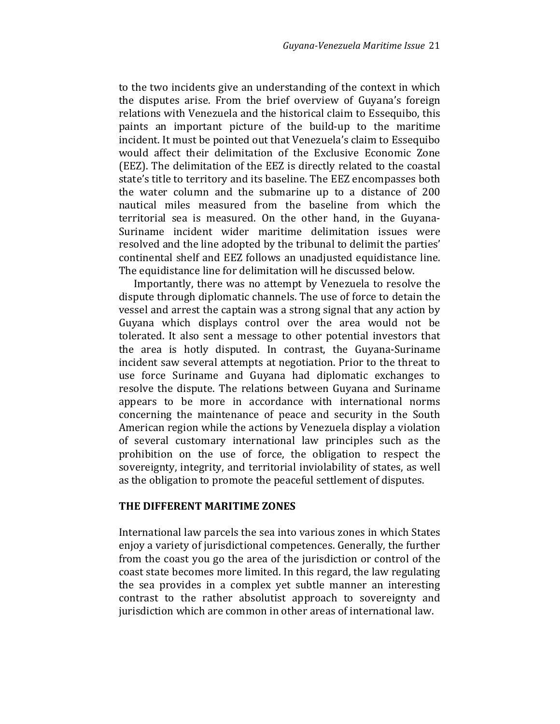to the two incidents give an understanding of the context in which the disputes arise. From the brief overview of Guyana's foreign relations with Venezuela and the historical claim to Essequibo, this paints an important picture of the build-up to the maritime incident. It must be pointed out that Venezuela's claim to Essequibo would affect their delimitation of the Exclusive Economic Zone (EEZ). The delimitation of the EEZ is directly related to the coastal state's title to territory and its baseline. The EEZ encompasses both the water column and the submarine up to a distance of 200 nautical miles measured from the baseline from which the territorial sea is measured. On the other hand, in the Guyana-Suriname incident wider maritime delimitation issues were resolved and the line adopted by the tribunal to delimit the parties' continental shelf and EEZ follows an unadjusted equidistance line. The equidistance line for delimitation will he discussed below.

Importantly, there was no attempt by Venezuela to resolve the dispute through diplomatic channels. The use of force to detain the vessel and arrest the captain was a strong signal that any action by Guyana which displays control over the area would not be tolerated. It also sent a message to other potential investors that the area is hotly disputed. In contrast, the Guyana-Suriname incident saw several attempts at negotiation. Prior to the threat to use force Suriname and Guyana had diplomatic exchanges to resolve the dispute. The relations between Guyana and Suriname appears to be more in accordance with international norms concerning the maintenance of peace and security in the South American region while the actions by Venezuela display a violation of several customary international law principles such as the prohibition on the use of force, the obligation to respect the sovereignty, integrity, and territorial inviolability of states, as well as the obligation to promote the peaceful settlement of disputes.

#### THE DIFFERENT MARITIME ZONES

International law parcels the sea into various zones in which States enjoy a variety of jurisdictional competences. Generally, the further from the coast you go the area of the jurisdiction or control of the coast state becomes more limited. In this regard, the law regulating the sea provides in a complex yet subtle manner an interesting contrast to the rather absolutist approach to sovereignty and jurisdiction which are common in other areas of international law.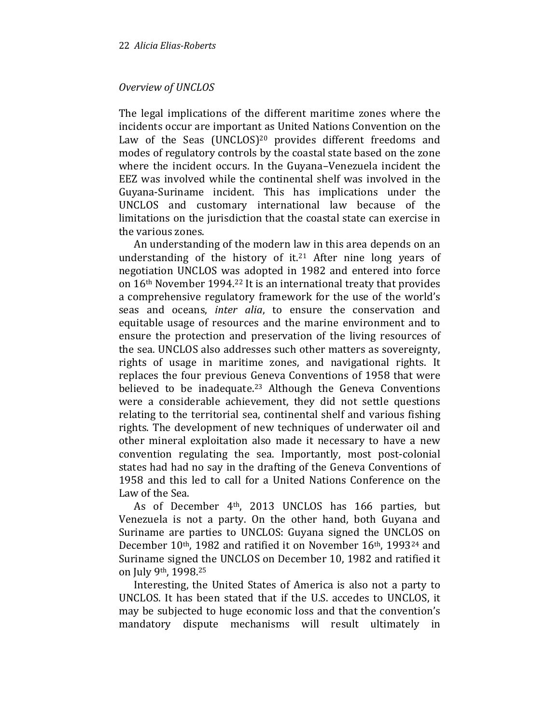## Overview of UNCLOS

The legal implications of the different maritime zones where the incidents occur are important as United Nations Convention on the Law of the Seas (UNCLOS)<sup>20</sup> provides different freedoms and modes of regulatory controls by the coastal state based on the zone where the incident occurs. In the Guyana–Venezuela incident the EEZ was involved while the continental shelf was involved in the Guyana-Suriname incident. This has implications under the UNCLOS and customary international law because of the limitations on the jurisdiction that the coastal state can exercise in the various zones.

An understanding of the modern law in this area depends on an understanding of the history of it.<sup>21</sup> After nine long years of negotiation UNCLOS was adopted in 1982 and entered into force on 16th November 1994.22 It is an international treaty that provides a comprehensive regulatory framework for the use of the world's seas and oceans, inter alia, to ensure the conservation and equitable usage of resources and the marine environment and to ensure the protection and preservation of the living resources of the sea. UNCLOS also addresses such other matters as sovereignty, rights of usage in maritime zones, and navigational rights. It replaces the four previous Geneva Conventions of 1958 that were believed to be inadequate.<sup>23</sup> Although the Geneva Conventions were a considerable achievement, they did not settle questions relating to the territorial sea, continental shelf and various fishing rights. The development of new techniques of underwater oil and other mineral exploitation also made it necessary to have a new convention regulating the sea. Importantly, most post-colonial states had had no say in the drafting of the Geneva Conventions of 1958 and this led to call for a United Nations Conference on the Law of the Sea.

As of December 4th, 2013 UNCLOS has 166 parties, but Venezuela is not a party. On the other hand, both Guyana and Suriname are parties to UNCLOS: Guyana signed the UNCLOS on December 10th, 1982 and ratified it on November 16th, 199324 and Suriname signed the UNCLOS on December 10, 1982 and ratified it on July 9th, 1998.<sup>25</sup>

Interesting, the United States of America is also not a party to UNCLOS. It has been stated that if the U.S. accedes to UNCLOS, it may be subjected to huge economic loss and that the convention's mandatory dispute mechanisms will result ultimately in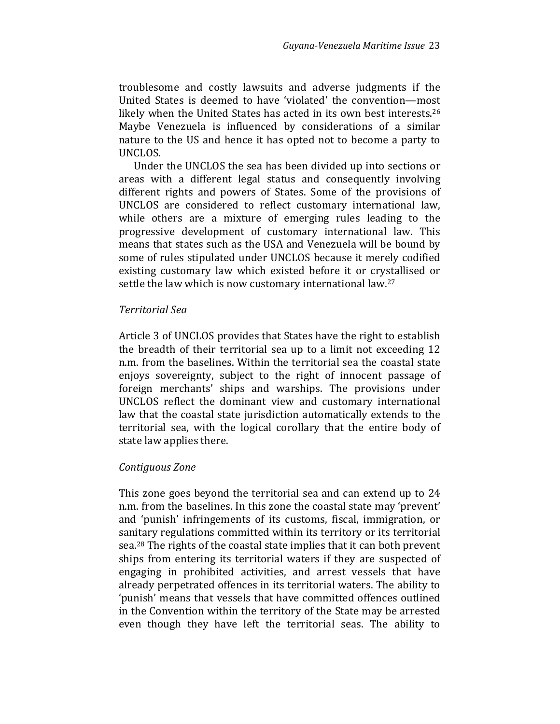troublesome and costly lawsuits and adverse judgments if the United States is deemed to have 'violated' the convention—most likely when the United States has acted in its own best interests.<sup>26</sup> Maybe Venezuela is influenced by considerations of a similar nature to the US and hence it has opted not to become a party to UNCLOS.

Under the UNCLOS the sea has been divided up into sections or areas with a different legal status and consequently involving different rights and powers of States. Some of the provisions of UNCLOS are considered to reflect customary international law, while others are a mixture of emerging rules leading to the progressive development of customary international law. This means that states such as the USA and Venezuela will be bound by some of rules stipulated under UNCLOS because it merely codified existing customary law which existed before it or crystallised or settle the law which is now customary international law.<sup>27</sup>

#### Territorial Sea

Article 3 of UNCLOS provides that States have the right to establish the breadth of their territorial sea up to a limit not exceeding 12 n.m. from the baselines. Within the territorial sea the coastal state enjoys sovereignty, subject to the right of innocent passage of foreign merchants' ships and warships. The provisions under UNCLOS reflect the dominant view and customary international law that the coastal state jurisdiction automatically extends to the territorial sea, with the logical corollary that the entire body of state law applies there.

## Contiguous Zone

This zone goes beyond the territorial sea and can extend up to 24 n.m. from the baselines. In this zone the coastal state may 'prevent' and 'punish' infringements of its customs, fiscal, immigration, or sanitary regulations committed within its territory or its territorial sea.28 The rights of the coastal state implies that it can both prevent ships from entering its territorial waters if they are suspected of engaging in prohibited activities, and arrest vessels that have already perpetrated offences in its territorial waters. The ability to 'punish' means that vessels that have committed offences outlined in the Convention within the territory of the State may be arrested even though they have left the territorial seas. The ability to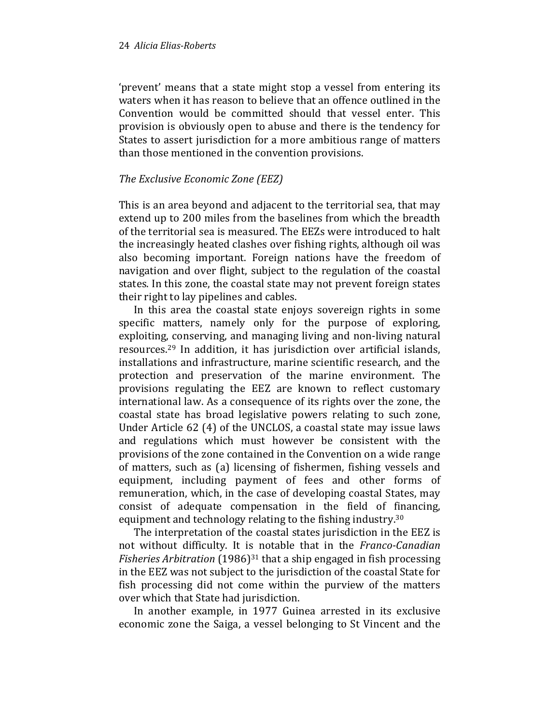'prevent' means that a state might stop a vessel from entering its waters when it has reason to believe that an offence outlined in the Convention would be committed should that vessel enter. This provision is obviously open to abuse and there is the tendency for States to assert jurisdiction for a more ambitious range of matters than those mentioned in the convention provisions.

## The Exclusive Economic Zone (EEZ)

This is an area beyond and adjacent to the territorial sea, that may extend up to 200 miles from the baselines from which the breadth of the territorial sea is measured. The EEZs were introduced to halt the increasingly heated clashes over fishing rights, although oil was also becoming important. Foreign nations have the freedom of navigation and over flight, subject to the regulation of the coastal states. In this zone, the coastal state may not prevent foreign states their right to lay pipelines and cables.

In this area the coastal state enjoys sovereign rights in some specific matters, namely only for the purpose of exploring, exploiting, conserving, and managing living and non-living natural resources.29 In addition, it has jurisdiction over artificial islands, installations and infrastructure, marine scientific research, and the protection and preservation of the marine environment. The provisions regulating the EEZ are known to reflect customary international law. As a consequence of its rights over the zone, the coastal state has broad legislative powers relating to such zone, Under Article 62 (4) of the UNCLOS, a coastal state may issue laws and regulations which must however be consistent with the provisions of the zone contained in the Convention on a wide range of matters, such as (a) licensing of fishermen, fishing vessels and equipment, including payment of fees and other forms of remuneration, which, in the case of developing coastal States, may consist of adequate compensation in the field of financing, equipment and technology relating to the fishing industry.<sup>30</sup>

The interpretation of the coastal states jurisdiction in the EEZ is not without difficulty. It is notable that in the Franco-Canadian Fisheries Arbitration  $(1986)^{31}$  that a ship engaged in fish processing in the EEZ was not subject to the jurisdiction of the coastal State for fish processing did not come within the purview of the matters over which that State had jurisdiction.

In another example, in 1977 Guinea arrested in its exclusive economic zone the Saiga, a vessel belonging to St Vincent and the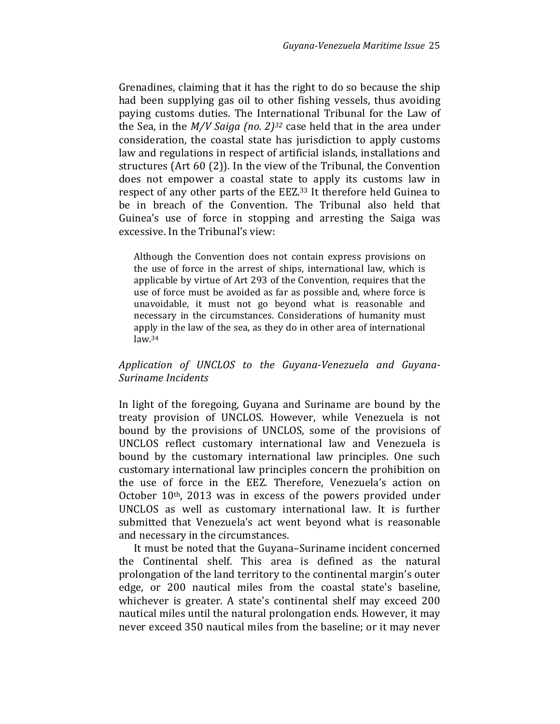Grenadines, claiming that it has the right to do so because the ship had been supplying gas oil to other fishing vessels, thus avoiding paying customs duties. The International Tribunal for the Law of the Sea, in the  $M/V$  Saiga (no. 2)<sup>32</sup> case held that in the area under consideration, the coastal state has jurisdiction to apply customs law and regulations in respect of artificial islands, installations and structures (Art 60 (2)). In the view of the Tribunal, the Convention does not empower a coastal state to apply its customs law in respect of any other parts of the EEZ.<sup>33</sup> It therefore held Guinea to be in breach of the Convention. The Tribunal also held that Guinea's use of force in stopping and arresting the Saiga was excessive. In the Tribunal's view:

Although the Convention does not contain express provisions on the use of force in the arrest of ships, international law, which is applicable by virtue of Art 293 of the Convention, requires that the use of force must be avoided as far as possible and, where force is unavoidable, it must not go beyond what is reasonable and necessary in the circumstances. Considerations of humanity must apply in the law of the sea, as they do in other area of international law.<sup>34</sup>

## Application of UNCLOS to the Guyana-Venezuela and Guyana-Suriname Incidents

In light of the foregoing, Guyana and Suriname are bound by the treaty provision of UNCLOS. However, while Venezuela is not bound by the provisions of UNCLOS, some of the provisions of UNCLOS reflect customary international law and Venezuela is bound by the customary international law principles. One such customary international law principles concern the prohibition on the use of force in the EEZ. Therefore, Venezuela's action on October  $10<sup>th</sup>$ , 2013 was in excess of the powers provided under UNCLOS as well as customary international law. It is further submitted that Venezuela's act went beyond what is reasonable and necessary in the circumstances.

It must be noted that the Guyana–Suriname incident concerned the Continental shelf. This area is defined as the natural prolongation of the land territory to the continental margin's outer edge, or 200 nautical miles from the coastal state's baseline, whichever is greater. A state's continental shelf may exceed 200 nautical miles until the natural prolongation ends. However, it may never exceed 350 nautical miles from the baseline; or it may never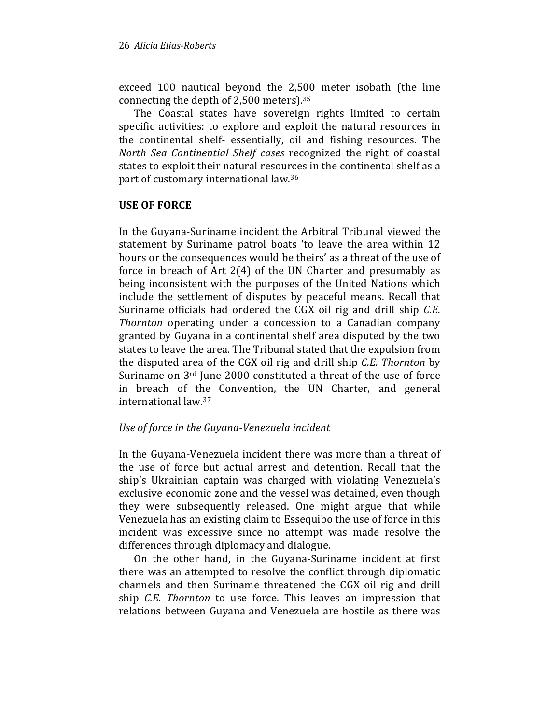exceed 100 nautical beyond the 2,500 meter isobath (the line connecting the depth of 2,500 meters).<sup>35</sup>

The Coastal states have sovereign rights limited to certain specific activities: to explore and exploit the natural resources in the continental shelf- essentially, oil and fishing resources. The North Sea Continential Shelf cases recognized the right of coastal states to exploit their natural resources in the continental shelf as a part of customary international law.<sup>36</sup>

## USE OF FORCE

In the Guyana-Suriname incident the Arbitral Tribunal viewed the statement by Suriname patrol boats 'to leave the area within 12 hours or the consequences would be theirs' as a threat of the use of force in breach of Art 2(4) of the UN Charter and presumably as being inconsistent with the purposes of the United Nations which include the settlement of disputes by peaceful means. Recall that Suriname officials had ordered the CGX oil rig and drill ship C.E. Thornton operating under a concession to a Canadian company granted by Guyana in a continental shelf area disputed by the two states to leave the area. The Tribunal stated that the expulsion from the disputed area of the CGX oil rig and drill ship C.E. Thornton by Suriname on  $3<sup>rd</sup>$  June 2000 constituted a threat of the use of force in breach of the Convention, the UN Charter, and general international law.<sup>37</sup>

## Use of force in the Guyana-Venezuela incident

In the Guyana-Venezuela incident there was more than a threat of the use of force but actual arrest and detention. Recall that the ship's Ukrainian captain was charged with violating Venezuela's exclusive economic zone and the vessel was detained, even though they were subsequently released. One might argue that while Venezuela has an existing claim to Essequibo the use of force in this incident was excessive since no attempt was made resolve the differences through diplomacy and dialogue.

On the other hand, in the Guyana-Suriname incident at first there was an attempted to resolve the conflict through diplomatic channels and then Suriname threatened the CGX oil rig and drill ship *C.E. Thornton* to use force. This leaves an impression that relations between Guyana and Venezuela are hostile as there was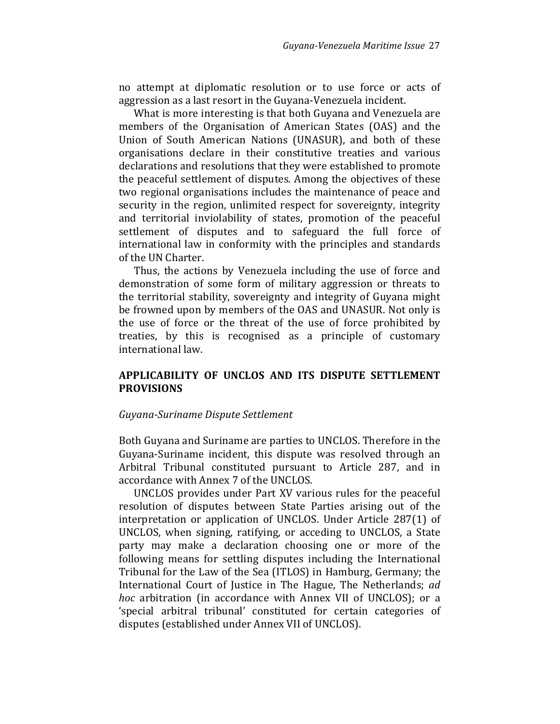no attempt at diplomatic resolution or to use force or acts of aggression as a last resort in the Guyana-Venezuela incident.

What is more interesting is that both Guyana and Venezuela are members of the Organisation of American States (OAS) and the Union of South American Nations (UNASUR), and both of these organisations declare in their constitutive treaties and various declarations and resolutions that they were established to promote the peaceful settlement of disputes. Among the objectives of these two regional organisations includes the maintenance of peace and security in the region, unlimited respect for sovereignty, integrity and territorial inviolability of states, promotion of the peaceful settlement of disputes and to safeguard the full force of international law in conformity with the principles and standards of the UN Charter.

Thus, the actions by Venezuela including the use of force and demonstration of some form of military aggression or threats to the territorial stability, sovereignty and integrity of Guyana might be frowned upon by members of the OAS and UNASUR. Not only is the use of force or the threat of the use of force prohibited by treaties, by this is recognised as a principle of customary international law.

## APPLICABILITY OF UNCLOS AND ITS DISPUTE SETTLEMENT PROVISIONS

#### Guyana-Suriname Dispute Settlement

Both Guyana and Suriname are parties to UNCLOS. Therefore in the Guyana-Suriname incident, this dispute was resolved through an Arbitral Tribunal constituted pursuant to Article 287, and in accordance with Annex 7 of the UNCLOS.

UNCLOS provides under Part XV various rules for the peaceful resolution of disputes between State Parties arising out of the interpretation or application of UNCLOS. Under Article 287(1) of UNCLOS, when signing, ratifying, or acceding to UNCLOS, a State party may make a declaration choosing one or more of the following means for settling disputes including the International Tribunal for the Law of the Sea (ITLOS) in Hamburg, Germany; the International Court of Justice in The Hague, The Netherlands; ad hoc arbitration (in accordance with Annex VII of UNCLOS); or a 'special arbitral tribunal' constituted for certain categories of disputes (established under Annex VII of UNCLOS).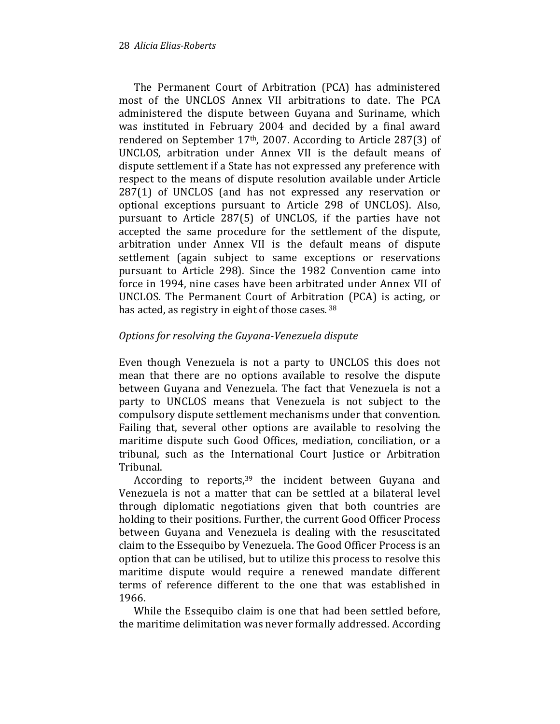The Permanent Court of Arbitration (PCA) has administered most of the UNCLOS Annex VII arbitrations to date. The PCA administered the dispute between Guyana and Suriname, which was instituted in February 2004 and decided by a final award rendered on September 17th, 2007. According to Article 287(3) of UNCLOS, arbitration under Annex VII is the default means of dispute settlement if a State has not expressed any preference with respect to the means of dispute resolution available under Article 287(1) of UNCLOS (and has not expressed any reservation or optional exceptions pursuant to Article 298 of UNCLOS). Also, pursuant to Article 287(5) of UNCLOS, if the parties have not accepted the same procedure for the settlement of the dispute, arbitration under Annex VII is the default means of dispute settlement (again subject to same exceptions or reservations pursuant to Article 298). Since the 1982 Convention came into force in 1994, nine cases have been arbitrated under Annex VII of UNCLOS. The Permanent Court of Arbitration (PCA) is acting, or has acted, as registry in eight of those cases.<sup>38</sup>

# Options for resolving the Guyana-Venezuela dispute

Even though Venezuela is not a party to UNCLOS this does not mean that there are no options available to resolve the dispute between Guyana and Venezuela. The fact that Venezuela is not a party to UNCLOS means that Venezuela is not subject to the compulsory dispute settlement mechanisms under that convention. Failing that, several other options are available to resolving the maritime dispute such Good Offices, mediation, conciliation, or a tribunal, such as the International Court Justice or Arbitration Tribunal.

According to reports,<sup>39</sup> the incident between Guyana and Venezuela is not a matter that can be settled at a bilateral level through diplomatic negotiations given that both countries are holding to their positions. Further, the current Good Officer Process between Guyana and Venezuela is dealing with the resuscitated claim to the Essequibo by Venezuela. The Good Officer Process is an option that can be utilised, but to utilize this process to resolve this maritime dispute would require a renewed mandate different terms of reference different to the one that was established in 1966.

While the Essequibo claim is one that had been settled before, the maritime delimitation was never formally addressed. According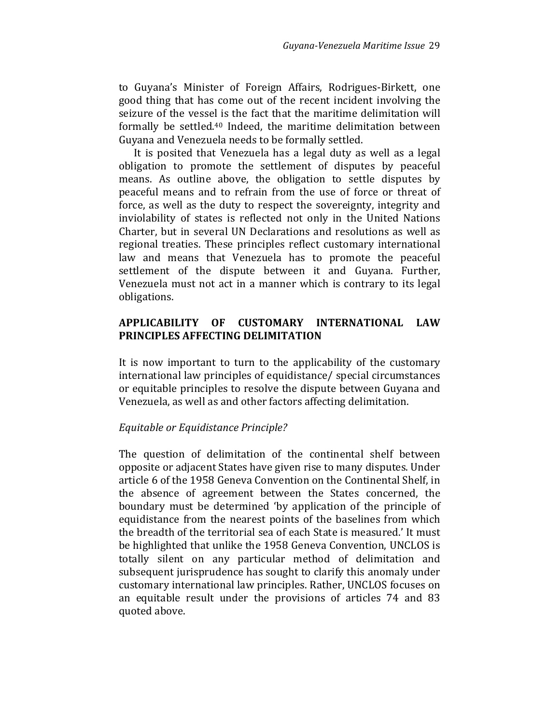to Guyana's Minister of Foreign Affairs, Rodrigues-Birkett, one good thing that has come out of the recent incident involving the seizure of the vessel is the fact that the maritime delimitation will formally be settled.<sup>40</sup> Indeed, the maritime delimitation between Guyana and Venezuela needs to be formally settled.

It is posited that Venezuela has a legal duty as well as a legal obligation to promote the settlement of disputes by peaceful means. As outline above, the obligation to settle disputes by peaceful means and to refrain from the use of force or threat of force, as well as the duty to respect the sovereignty, integrity and inviolability of states is reflected not only in the United Nations Charter, but in several UN Declarations and resolutions as well as regional treaties. These principles reflect customary international law and means that Venezuela has to promote the peaceful settlement of the dispute between it and Guyana. Further, Venezuela must not act in a manner which is contrary to its legal obligations.

## APPLICABILITY OF CUSTOMARY INTERNATIONAL LAW PRINCIPLES AFFECTING DELIMITATION

It is now important to turn to the applicability of the customary international law principles of equidistance/ special circumstances or equitable principles to resolve the dispute between Guyana and Venezuela, as well as and other factors affecting delimitation.

## Equitable or Equidistance Principle?

The question of delimitation of the continental shelf between opposite or adjacent States have given rise to many disputes. Under article 6 of the 1958 Geneva Convention on the Continental Shelf, in the absence of agreement between the States concerned, the boundary must be determined 'by application of the principle of equidistance from the nearest points of the baselines from which the breadth of the territorial sea of each State is measured.' It must be highlighted that unlike the 1958 Geneva Convention, UNCLOS is totally silent on any particular method of delimitation and subsequent jurisprudence has sought to clarify this anomaly under customary international law principles. Rather, UNCLOS focuses on an equitable result under the provisions of articles 74 and 83 quoted above.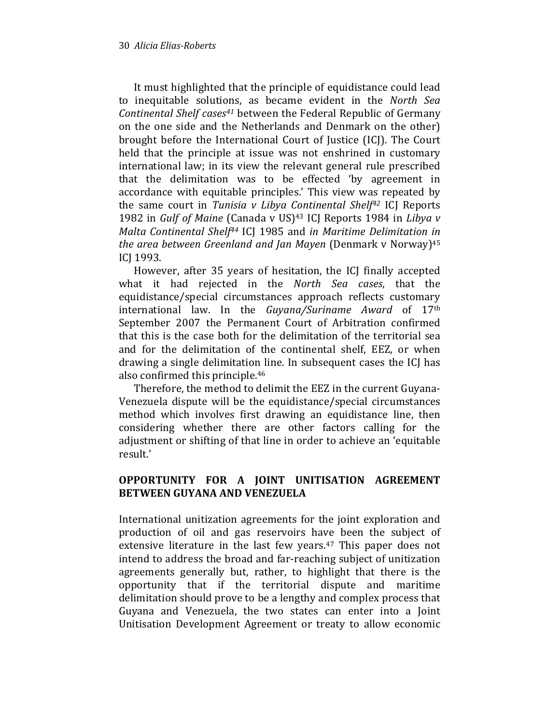It must highlighted that the principle of equidistance could lead to inequitable solutions, as became evident in the North Sea Continental Shelf cases<sup>41</sup> between the Federal Republic of Germany on the one side and the Netherlands and Denmark on the other) brought before the International Court of Justice (ICJ). The Court held that the principle at issue was not enshrined in customary international law; in its view the relevant general rule prescribed that the delimitation was to be effected 'by agreement in accordance with equitable principles.' This view was repeated by the same court in Tunisia v Libya Continental Shel $f^{42}$  ICJ Reports 1982 in Gulf of Maine (Canada v US)<sup>43</sup> ICJ Reports 1984 in Libya v Malta Continental Shelf<sup>44</sup> ICJ 1985 and in Maritime Delimitation in the area between Greenland and Jan Mayen (Denmark v Norway) $45$ ICI 1993.

However, after 35 years of hesitation, the ICJ finally accepted what it had rejected in the North Sea cases, that the equidistance/special circumstances approach reflects customary international law. In the Guyana/Suriname Award of 17th September 2007 the Permanent Court of Arbitration confirmed that this is the case both for the delimitation of the territorial sea and for the delimitation of the continental shelf, EEZ, or when drawing a single delimitation line. In subsequent cases the ICJ has also confirmed this principle.<sup>46</sup>

Therefore, the method to delimit the EEZ in the current Guyana-Venezuela dispute will be the equidistance/special circumstances method which involves first drawing an equidistance line, then considering whether there are other factors calling for the adjustment or shifting of that line in order to achieve an 'equitable result.'

# OPPORTUNITY FOR A JOINT UNITISATION AGREEMENT BETWEEN GUYANA AND VENEZUELA

International unitization agreements for the joint exploration and production of oil and gas reservoirs have been the subject of extensive literature in the last few years.<sup>47</sup> This paper does not intend to address the broad and far-reaching subject of unitization agreements generally but, rather, to highlight that there is the opportunity that if the territorial dispute and maritime delimitation should prove to be a lengthy and complex process that Guyana and Venezuela, the two states can enter into a Joint Unitisation Development Agreement or treaty to allow economic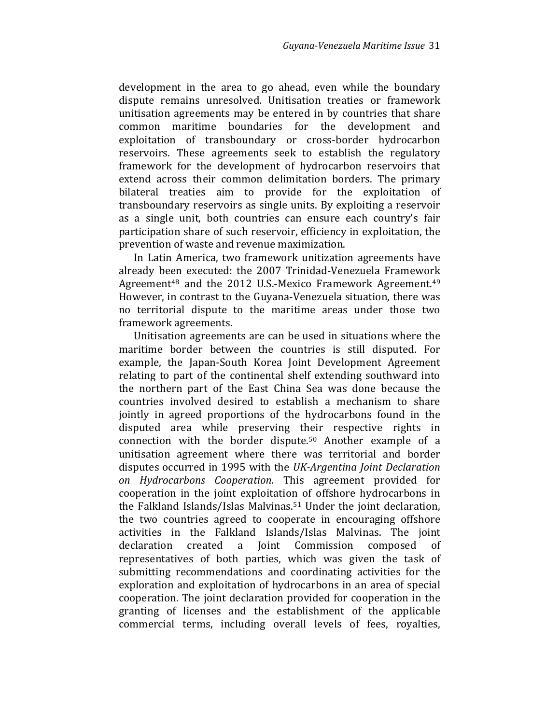development in the area to go ahead, even while the boundary dispute remains unresolved. Unitisation treaties or framework unitisation agreements may be entered in by countries that share common maritime boundaries for the development and exploitation of transboundary or cross-border hydrocarbon reservoirs. These agreements seek to establish the regulatory framework for the development of hydrocarbon reservoirs that extend across their common delimitation borders. The primary bilateral treaties aim to provide for the exploitation of transboundary reservoirs as single units. By exploiting a reservoir as a single unit, both countries can ensure each country's fair participation share of such reservoir, efficiency in exploitation, the prevention of waste and revenue maximization.

In Latin America, two framework unitization agreements have already been executed: the 2007 Trinidad-Venezuela Framework Agreement<sup>48</sup> and the 2012 U.S.-Mexico Framework Agreement.<sup>49</sup> However, in contrast to the Guyana-Venezuela situation, there was no territorial dispute to the maritime areas under those two framework agreements.

Unitisation agreements are can be used in situations where the maritime border between the countries is still disputed. For example, the Japan-South Korea Joint Development Agreement relating to part of the continental shelf extending southward into the northern part of the East China Sea was done because the countries involved desired to establish a mechanism to share jointly in agreed proportions of the hydrocarbons found in the disputed area while preserving their respective rights in connection with the border dispute.50 Another example of a unitisation agreement where there was territorial and border disputes occurred in 1995 with the UK-Argentina Joint Declaration on Hydrocarbons Cooperation. This agreement provided for cooperation in the joint exploitation of offshore hydrocarbons in the Falkland Islands/Islas Malvinas.51 Under the joint declaration, the two countries agreed to cooperate in encouraging offshore activities in the Falkland Islands/Islas Malvinas. The joint declaration created a Joint Commission composed of representatives of both parties, which was given the task of submitting recommendations and coordinating activities for the exploration and exploitation of hydrocarbons in an area of special cooperation. The joint declaration provided for cooperation in the granting of licenses and the establishment of the applicable commercial terms, including overall levels of fees, royalties,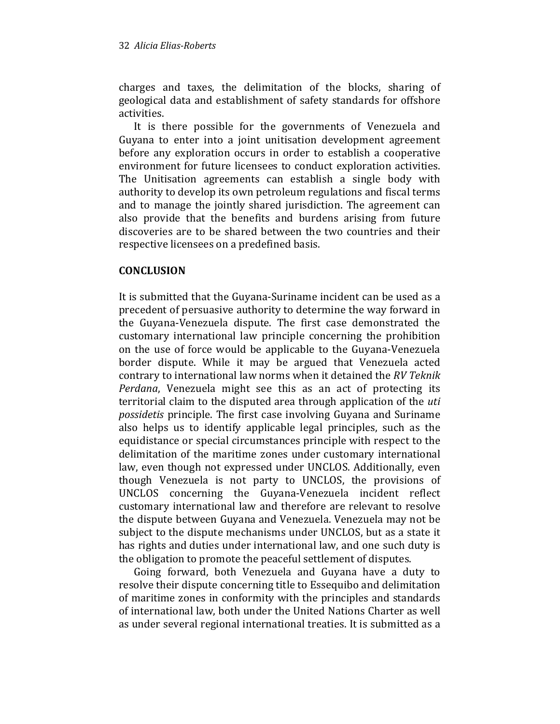charges and taxes, the delimitation of the blocks, sharing of geological data and establishment of safety standards for offshore activities.

It is there possible for the governments of Venezuela and Guyana to enter into a joint unitisation development agreement before any exploration occurs in order to establish a cooperative environment for future licensees to conduct exploration activities. The Unitisation agreements can establish a single body with authority to develop its own petroleum regulations and fiscal terms and to manage the jointly shared jurisdiction. The agreement can also provide that the benefits and burdens arising from future discoveries are to be shared between the two countries and their respective licensees on a predefined basis.

## **CONCLUSION**

It is submitted that the Guyana-Suriname incident can be used as a precedent of persuasive authority to determine the way forward in the Guyana-Venezuela dispute. The first case demonstrated the customary international law principle concerning the prohibition on the use of force would be applicable to the Guyana-Venezuela border dispute. While it may be argued that Venezuela acted contrary to international law norms when it detained the RV Teknik Perdana, Venezuela might see this as an act of protecting its territorial claim to the disputed area through application of the uti possidetis principle. The first case involving Guyana and Suriname also helps us to identify applicable legal principles, such as the equidistance or special circumstances principle with respect to the delimitation of the maritime zones under customary international law, even though not expressed under UNCLOS. Additionally, even though Venezuela is not party to UNCLOS, the provisions of UNCLOS concerning the Guyana-Venezuela incident reflect customary international law and therefore are relevant to resolve the dispute between Guyana and Venezuela. Venezuela may not be subject to the dispute mechanisms under UNCLOS, but as a state it has rights and duties under international law, and one such duty is the obligation to promote the peaceful settlement of disputes.

Going forward, both Venezuela and Guyana have a duty to resolve their dispute concerning title to Essequibo and delimitation of maritime zones in conformity with the principles and standards of international law, both under the United Nations Charter as well as under several regional international treaties. It is submitted as a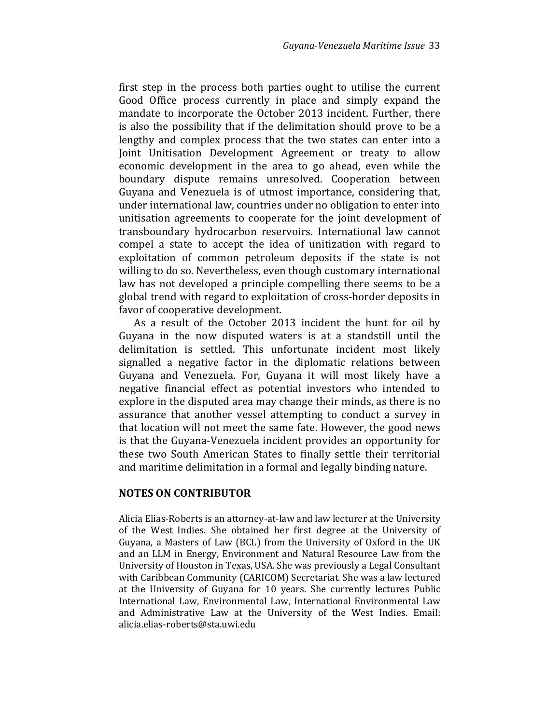first step in the process both parties ought to utilise the current Good Office process currently in place and simply expand the mandate to incorporate the October 2013 incident. Further, there is also the possibility that if the delimitation should prove to be a lengthy and complex process that the two states can enter into a Joint Unitisation Development Agreement or treaty to allow economic development in the area to go ahead, even while the boundary dispute remains unresolved. Cooperation between Guyana and Venezuela is of utmost importance, considering that, under international law, countries under no obligation to enter into unitisation agreements to cooperate for the joint development of transboundary hydrocarbon reservoirs. International law cannot compel a state to accept the idea of unitization with regard to exploitation of common petroleum deposits if the state is not willing to do so. Nevertheless, even though customary international law has not developed a principle compelling there seems to be a global trend with regard to exploitation of cross-border deposits in favor of cooperative development.

As a result of the October 2013 incident the hunt for oil by Guyana in the now disputed waters is at a standstill until the delimitation is settled. This unfortunate incident most likely signalled a negative factor in the diplomatic relations between Guyana and Venezuela. For, Guyana it will most likely have a negative financial effect as potential investors who intended to explore in the disputed area may change their minds, as there is no assurance that another vessel attempting to conduct a survey in that location will not meet the same fate. However, the good news is that the Guyana-Venezuela incident provides an opportunity for these two South American States to finally settle their territorial and maritime delimitation in a formal and legally binding nature.

## NOTES ON CONTRIBUTOR

Alicia Elias-Roberts is an attorney-at-law and law lecturer at the University of the West Indies. She obtained her first degree at the University of Guyana, a Masters of Law (BCL) from the University of Oxford in the UK and an LLM in Energy, Environment and Natural Resource Law from the University of Houston in Texas, USA. She was previously a Legal Consultant with Caribbean Community (CARICOM) Secretariat. She was a law lectured at the University of Guyana for 10 years. She currently lectures Public International Law, Environmental Law, International Environmental Law and Administrative Law at the University of the West Indies. Email: alicia.elias-roberts@sta.uwi.edu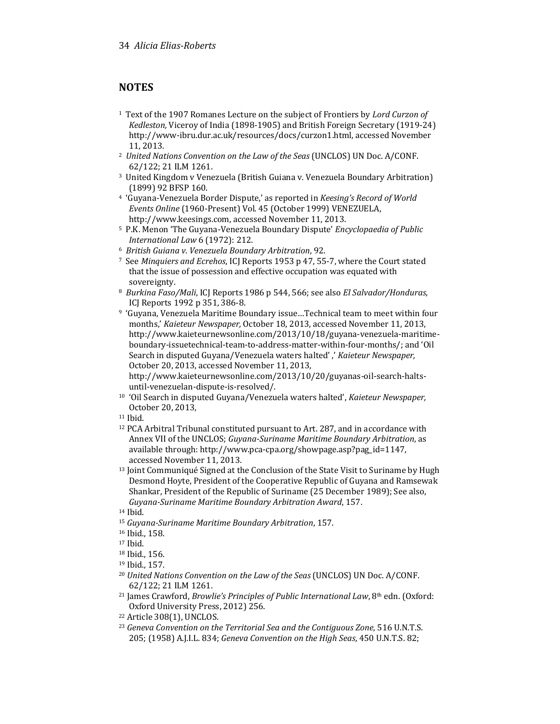# **NOTES**

- <sup>1</sup> Text of the 1907 Romanes Lecture on the subject of Frontiers by Lord Curzon of Kedleston, Viceroy of India (1898-1905) and British Foreign Secretary (1919-24) http://www-ibru.dur.ac.uk/resources/docs/curzon1.html, accessed November 11, 2013.
- <sup>2</sup> United Nations Convention on the Law of the Seas (UNCLOS) UN Doc. A/CONF. 62/122; 21 ILM 1261.
- <sup>3</sup> United Kingdom v Venezuela (British Guiana v. Venezuela Boundary Arbitration) (1899) 92 BFSP 160.
- <sup>4</sup> 'Guyana-Venezuela Border Dispute,' as reported in Keesing's Record of World Events Online (1960-Present) Vol. 45 (October 1999) VENEZUELA, http://www.keesings.com, accessed November 11, 2013.
- <sup>5</sup> P.K. Menon 'The Guyana-Venezuela Boundary Dispute' Encyclopaedia of Public International Law 6 (1972): 212.
- <sup>6</sup> British Guiana v. Venezuela Boundary Arbitration, 92.
- <sup>7</sup> See Minquiers and Ecrehos, ICJ Reports 1953 p 47, 55-7, where the Court stated that the issue of possession and effective occupation was equated with sovereignty.
- <sup>8</sup> Burkina Faso/Mali, ICJ Reports 1986 p 544, 566; see also El Salvador/Honduras, ICJ Reports 1992 p 351, 386-8.
- <sup>9</sup> 'Guyana, Venezuela Maritime Boundary issue…Technical team to meet within four months,' Kaieteur Newspaper, October 18, 2013, accessed November 11, 2013, http://www.kaieteurnewsonline.com/2013/10/18/guyana-venezuela-maritimeboundary-issuetechnical-team-to-address-matter-within-four-months/; and 'Oil Search in disputed Guyana/Venezuela waters halted' ,' Kaieteur Newspaper, October 20, 2013, accessed November 11, 2013, http://www.kaieteurnewsonline.com/2013/10/20/guyanas-oil-search-haltsuntil-venezuelan-dispute-is-resolved/.
- <sup>10</sup> 'Oil Search in disputed Guyana/Venezuela waters halted', Kaieteur Newspaper, October 20, 2013,
- <sup>11</sup> Ibid.
- <sup>12</sup> PCA Arbitral Tribunal constituted pursuant to Art. 287, and in accordance with Annex VII of the UNCLOS; Guyana-Suriname Maritime Boundary Arbitration, as available through: http://www.pca-cpa.org/showpage.asp?pag\_id=1147, accessed November 11, 2013.
- <sup>13</sup> Joint Communiqué Signed at the Conclusion of the State Visit to Suriname by Hugh Desmond Hoyte, President of the Cooperative Republic of Guyana and Ramsewak Shankar, President of the Republic of Suriname (25 December 1989); See also, Guyana-Suriname Maritime Boundary Arbitration Award, 157.
- <sup>14</sup> Ibid.
- <sup>15</sup> Guyana-Suriname Maritime Boundary Arbitration, 157.
- <sup>16</sup> Ibid., 158.

<sup>18</sup> Ibid., 156.

- <sup>20</sup> United Nations Convention on the Law of the Seas (UNCLOS) UN Doc.  $A/CONF$ . 62/122; 21 ILM 1261.
- <sup>21</sup> James Crawford, *Browlie's Principles of Public International Law*,  $8<sup>th</sup>$  edn. (Oxford: Oxford University Press, 2012) 256.
- <sup>22</sup> Article 308(1), UNCLOS.
- <sup>23</sup> Geneva Convention on the Territorial Sea and the Contiguous Zone, 516 U.N.T.S. 205; (1958) A.J.I.L. 834; Geneva Convention on the High Seas, 450 U.N.T.S. 82;

<sup>17</sup> Ibid.

<sup>19</sup> Ibid., 157.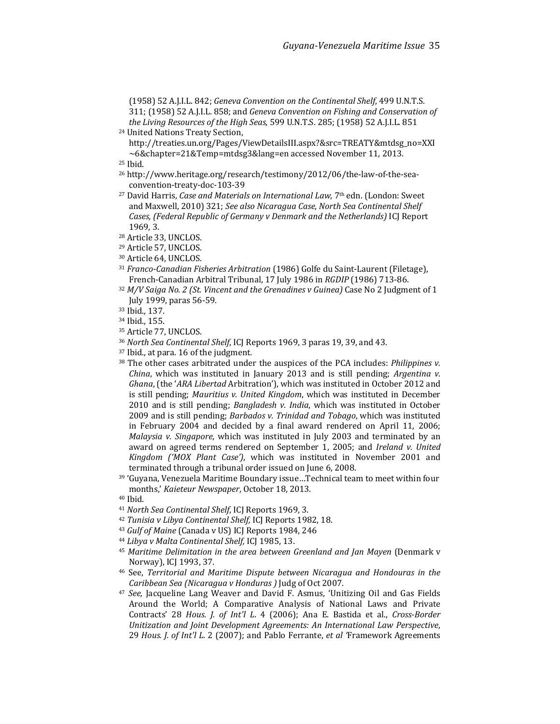(1958) 52 A.J.I.L. 842; Geneva Convention on the Continental Shelf, 499 U.N.T.S. 311; (1958) 52 A.J.I.L. 858; and Geneva Convention on Fishing and Conservation of the Living Resources of the High Seas, 599 U.N.T.S. 285; (1958) 52 A.J.I.L. 851 <sup>24</sup> United Nations Treaty Section,

http://treaties.un.org/Pages/ViewDetailsIII.aspx?&src=TREATY&mtdsg\_no=XXI ~6&chapter=21&Temp=mtdsg3&lang=en accessed November 11, 2013.

- 26 http://www.heritage.org/research/testimony/2012/06/the-law-of-the-seaconvention-treaty-doc-103-39
- $27$  David Harris, Case and Materials on International Law,  $7<sup>th</sup>$  edn. (London: Sweet and Maxwell, 2010) 321; See also Nicaragua Case, North Sea Continental Shelf Cases, (Federal Republic of Germany v Denmark and the Netherlands) ICJ Report 1969, 3.
- <sup>28</sup> Article 33, UNCLOS.
- <sup>29</sup> Article 57, UNCLOS.
- <sup>30</sup> Article 64, UNCLOS.
- <sup>31</sup> Franco-Canadian Fisheries Arbitration (1986) Golfe du Saint-Laurent (Filetage), French-Canadian Arbitral Tribunal, 17 July 1986 in RGDIP (1986) 713-86.
- $32$  M/V Saiga No. 2 (St. Vincent and the Grenadines v Guinea) Case No 2 Judgment of 1 July 1999, paras 56-59.
- <sup>33</sup> Ibid., 137.
- <sup>34</sup> Ibid., 155.
- <sup>35</sup> Article 77, UNCLOS.
- <sup>36</sup> North Sea Continental Shelf, ICJ Reports 1969, 3 paras 19, 39, and 43.
- <sup>37</sup> Ibid., at para. 16 of the judgment.
- $38$  The other cases arbitrated under the auspices of the PCA includes: *Philippines v. China*, which was instituted in January 2013 and is still pending; *Argentina v.* Ghana, (the 'ARA Libertad Arbitration'), which was instituted in October 2012 and is still pending; Mauritius v. United Kingdom, which was instituted in December 2010 and is still pending; Bangladesh v. India, which was instituted in October 2009 and is still pending; Barbados v. Trinidad and Tobago, which was instituted in February 2004 and decided by a final award rendered on April 11, 2006; Malaysia v. Singapore, which was instituted in July 2003 and terminated by an award on agreed terms rendered on September 1, 2005; and Ireland v. United Kingdom ('MOX Plant Case'), which was instituted in November 2001 and terminated through a tribunal order issued on June 6, 2008.
- <sup>39</sup> 'Guyana, Venezuela Maritime Boundary issue…Technical team to meet within four months,' Kaieteur Newspaper, October 18, 2013.
- <sup>40</sup> Ibid.
- <sup>41</sup> North Sea Continental Shelf, ICJ Reports 1969, 3.
- <sup>42</sup> Tunisia v Libya Continental Shelf, ICJ Reports 1982, 18.
- <sup>43</sup> Gulf of Maine (Canada v US) ICJ Reports 1984, 246
- 44 Libya v Malta Continental Shelf, ICJ 1985, 13.
- <sup>45</sup> Maritime Delimitation in the area between Greenland and Jan Mayen (Denmark v Norway), ICJ 1993, 37.
- <sup>46</sup> See, Territorial and Maritime Dispute between Nicaragua and Hondouras in the Caribbean Sea (Nicaragua v Honduras ) Judg of Oct 2007.
- <sup>47</sup> See, Jacqueline Lang Weaver and David F. Asmus, 'Unitizing Oil and Gas Fields Around the World; A Comparative Analysis of National Laws and Private Contracts' 28 Hous. J. of Int'l L. 4 (2006); Ana E. Bastida et al., Cross-Border Unitization and Joint Development Agreements: An International Law Perspective, 29 Hous. *J. of Int'l L.* 2 (2007); and Pablo Ferrante, *et al* 'Framework Agreements

<sup>25</sup> Ibid.